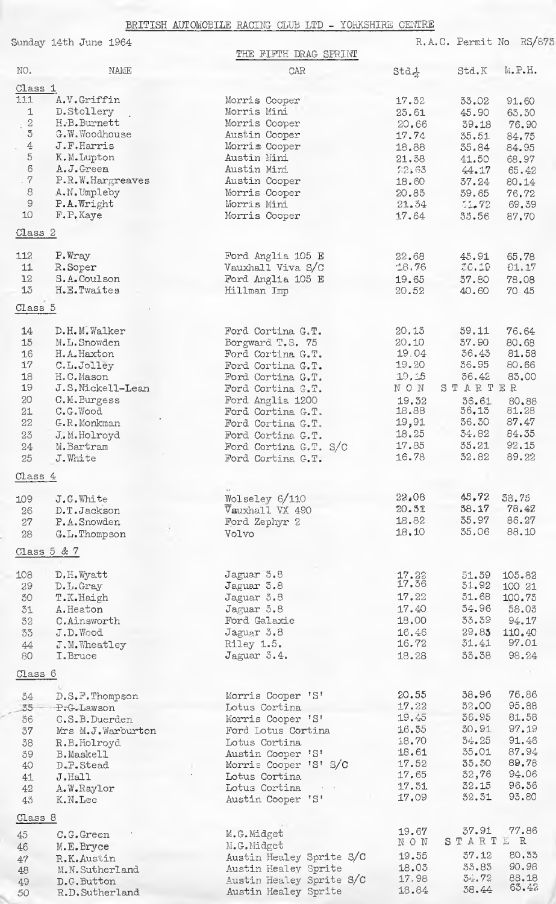## BRITISH AUTOMOBILE RACING CLUB LTD - YORKSHIRE CENTRE

|                    | Sunday 14th June 1964 | THE FIFTH DRAG SPRINT               |                  | R.A.C. Permit No | RS/873 |
|--------------------|-----------------------|-------------------------------------|------------------|------------------|--------|
| NO.                | NAME                  | CAR                                 | $Std\frac{1}{4}$ | Std.K            | M.P.H. |
| Class <sub>1</sub> |                       |                                     |                  |                  |        |
| 111                | A.V.Griffin           | Morris Cooper                       | 17.32            | 33.02            | 91.60  |
| 1                  | D.Stollery            | Morris Mini                         | 23.61            | 45.90            | 63.30  |
| $\sqrt{2}$         | H.B.Burnett           | Morris Cooper                       | 20,66            | 39.18            | 76.90  |
| $\,$ 5             | G.W.Woodhouse         | Austin Cooper                       | 17.74            | 35.51            | 84.75  |
| $\pm$              | J.F.Harris            | Morris Cooper                       | 18.88            | 35.84            | 84.95  |
| 5                  | K.M.Lupton            | Austin Mini                         | 21.38            | 41.50            | 68.97  |
| 6                  | A.J.Green             | Austin Mini                         | 22:63            | 44.17            | 65.42  |
| .7                 | P.R.W.Hargreaves      | Austin Cooper                       | 18.60            | 37.24            | 80.14  |
| 8                  | A.N.Umpleby           | Morris Cooper                       | 20.85            | 59.65            | 76.72  |
| $\Theta$           | P.A. Wright           | Morris Mini                         | 21.34            | 51.72            | 69.39  |
| 10                 | F.P.Kaye              | Morris Cooper                       | 17.64            | 33.56            | 87.70  |
| Class <sub>2</sub> |                       |                                     |                  |                  |        |
| 112                | P.Wray                | Ford Anglia 105 E                   | 22.68            | 45.91            | 65.78  |
| 11                 | R.Soper               | Vauxhall Viva S/C                   | 18.76            | 26.19            | 01.17  |
| 12                 | S.A.Coulson           | Ford Anglia 105 E                   | 19.65            | 37.80            | 78.08  |
| 13                 | H.E.Twaites           | Hillman Imp                         | 20.52            | 40.60            | 70 45  |
| Class 5            |                       |                                     |                  |                  |        |
|                    |                       |                                     |                  |                  |        |
| 14                 | D.H.M.Walker          | Ford Cortina G.T.                   | 20.13            | 59.11            | 76.64  |
| 15                 | M.L.Snowden           | Borgward T.S. 75                    | 20.10            | 37.90            | 80.68  |
| 16                 | H.A.Haxton            | Ford Cortina G.T.                   | 19.04            | 36.43            | 81.58  |
| 17                 | C.L.Jolley            | Ford Cortina G.T.                   | 19.20            | 36.95            | 80.66  |
| 18                 | H.C.Mason             | Ford Cortina G.T.                   | 19, 15           | 36.42            | 83.00  |
| 19                 | J.S.Nickell-Lean      | Ford Cortina G.T.                   | NON              | STARTER          |        |
| 20                 | C.M.Burgess           | Ford Anglia 1200                    | 19.32            | 36.61            | 80.88  |
| 21                 | C.G.Wood              | Ford Cortina G.T.                   | 18.88            | 36.13            | 81.28  |
| 22                 | G.R.Monkman           | Ford Cortina G.T.                   | 19,91            | 36.30            | 87.47  |
| 23                 | J.M.Holroyd           | Ford Cortina G.T.                   | 18.25            | 34.82            | 84.35  |
| 24                 | M.Bartram             | Ford Cortina G.T. S/C               | 17.85            | 33.21            | 92.15  |
| 25                 | J.White               | Ford Cortina C.T.                   | 16.78            | 32.82            | 89.22  |
| Class 4            |                       |                                     |                  |                  |        |
| 109                | J.G.White             | Wolseley 6/110                      | 22.08            | 45, 72           | 38.75  |
| 26                 | D.T.Jackson           | Vauxhall VX 490                     | 20.51            | 58.17            | 78.47  |
| 27                 | P.A.Snowden           | Ford Zephyr 2                       | 18.82            | 35.97            | 86.27  |
| 28                 | G.L.Thompson          | Volvo                               | 18,10            | 35.06            | 88.10  |
| Class $5 & 7$      |                       |                                     |                  |                  |        |
|                    |                       |                                     |                  |                  |        |
| 108                | D.H. Wyatt            | Jaguar 3.8                          | 17.22<br>17.36   | 51.59<br>51.92   | 105.82 |
| 29                 | D.L.Gray              | Jaguar 3.8                          | 17.22            | 31.68            | 100 21 |
| 50                 | T.K.Haigh             | Jaguar 3.8                          |                  | 34.96            | 100.73 |
| 31                 | A.Heaton              | Jaguar 3.8                          | 17.40            |                  | 58.03  |
| 32                 | C.Ainsworth           | Ford Galaxie                        | 18,00            | 33.39            | 94.17  |
| 33                 | J.D.Wood              | Jaguar 3.8                          | 16.46            | 29.85            | 110.40 |
| 44                 | J.M.Wheatley          | Riley 1.5.                          | 16.72            | 31.41            | 97.01  |
| 80                 | I.Bruce               | Jaguar 3.4.                         | 18.28            | 33.38            | 98.24  |
| Class 6            |                       |                                     |                  |                  |        |
| 34                 | D.S.F.Thompson        | Morris Cooper 'S'                   | 20.55            | 38.96            | 76.86  |
| $35 -$             | P.G.Lawson            | Lotus Cortina                       | 17.22            | 32.00            | 95.88  |
| 36                 | C.S.B.Duerden         | Morris Cooper 'S'                   | 19.45            | 36.95            | 81.58  |
| 37                 | Mrs M.J.Warburton     | Ford Lotus Cortina                  | 16.35            | 30.91            | 97.19  |
| 38                 | R.B.Holroyd           | Lotus Cortina                       | 18.70            | 34.25            | 91.46  |
| 39                 | B.Maskell             | Austin Cooper 'S'                   | 18.61            | 35:01            | 87.94  |
| 40                 | D.P.Stead             | Morris Cooper 'S' S/C               | 17.52            | 33.30            | 89.78  |
| 41                 | J.Hall                | Lotus Cortina                       | 17.65            | 32,76            | 94.06  |
| 42                 | A.W.Raylor            | Lotus Cortina<br>$\epsilon = \pm 1$ | 17.31            | 32.15            | 96.36  |
| 43                 | K.N.Lee               | Austin Cooper 'S'                   | 17.09            | 32.31            | 93.80  |
| Class 8            |                       |                                     |                  |                  |        |
| 45                 | C.G.Green             | M.G.Midget                          | 19.67            | 37.91            | 77.86  |
| 46                 | M.E.Bryce             | M.G.Midget                          | NON              | STARTE           | R      |
| $47\,$             | R.K.Austin            | Austin Healey Sprite S/C            | 19.55            | 37.12            | 80.33  |
| 48                 | M.N.Sutherland        | Austin Healey Sprite                | 18.03            | 33.83            | 90.98  |
| 49                 | D.G. Button           | Austin Healey Sprite S/C            | 17.98            | 34.72            | 88.18  |
| 50                 | R.D.Sutherland        | Austin Healey Sprite                | 18.84            | 38.44            | 63.42  |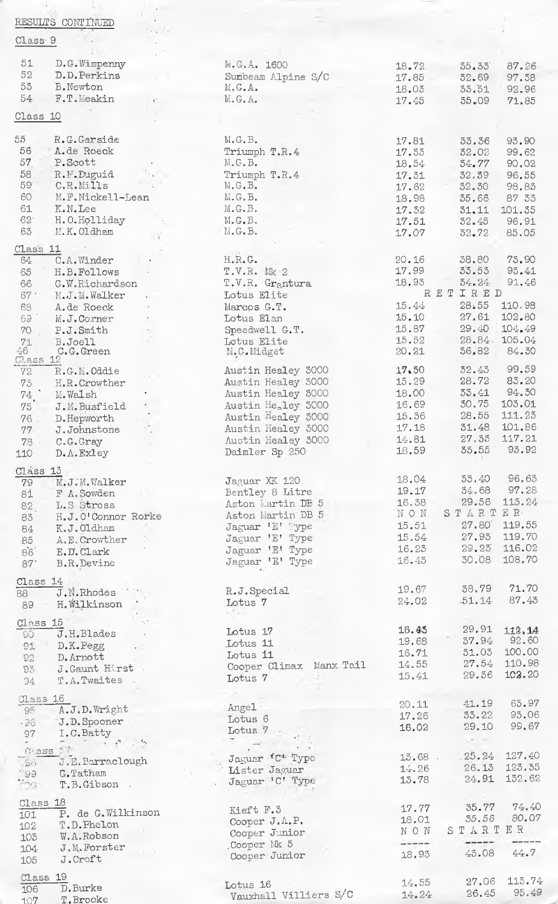| RESULTS CONTINUED                                                                                                           |                                          |                |                                                                                                                                                                                                                                                                                                                                                                                                                                                               |                |
|-----------------------------------------------------------------------------------------------------------------------------|------------------------------------------|----------------|---------------------------------------------------------------------------------------------------------------------------------------------------------------------------------------------------------------------------------------------------------------------------------------------------------------------------------------------------------------------------------------------------------------------------------------------------------------|----------------|
| Class <sub>9</sub>                                                                                                          |                                          |                |                                                                                                                                                                                                                                                                                                                                                                                                                                                               |                |
|                                                                                                                             |                                          |                |                                                                                                                                                                                                                                                                                                                                                                                                                                                               |                |
| 51<br>D.G.Wimpenny                                                                                                          | M.G.A. 1600                              | 18.72          | 55.53                                                                                                                                                                                                                                                                                                                                                                                                                                                         | 87.26          |
| 52<br>D.D.Perkins                                                                                                           | Sumbeam Alpine S/C                       | 17.85          | 32.69                                                                                                                                                                                                                                                                                                                                                                                                                                                         | 97.58          |
| 53<br>B. Newton                                                                                                             | $M$ , $G$ , $A$ ,                        | 18.05          | 33.51                                                                                                                                                                                                                                                                                                                                                                                                                                                         | 92.96          |
| 54<br>F.T.Meakin                                                                                                            | $M$ , $G$ , $A$ ,                        | 17.45          | $35 - 09$                                                                                                                                                                                                                                                                                                                                                                                                                                                     | 71.85          |
|                                                                                                                             |                                          |                |                                                                                                                                                                                                                                                                                                                                                                                                                                                               |                |
| Class 10                                                                                                                    |                                          |                |                                                                                                                                                                                                                                                                                                                                                                                                                                                               |                |
| 55<br>R.G.Garside                                                                                                           | $M$ . G. B.                              | 17.81          |                                                                                                                                                                                                                                                                                                                                                                                                                                                               | 93.90          |
| 56<br>A.de Roeck                                                                                                            | Triumph T.R.4                            | 17.33          | 33.36<br>32.02                                                                                                                                                                                                                                                                                                                                                                                                                                                | 99.62          |
| 57<br>P.Scott                                                                                                               | M, G, B.                                 | 18.54          | 34.77                                                                                                                                                                                                                                                                                                                                                                                                                                                         | 90.02          |
| 58 R.M.Duguid                                                                                                               | Triumph T.R.4.                           | 17.31          | 32.39                                                                                                                                                                                                                                                                                                                                                                                                                                                         | 96.55          |
| 59<br>C.R.Mills                                                                                                             | $M$ . G. B.                              | 17.62          | 32.30                                                                                                                                                                                                                                                                                                                                                                                                                                                         | 98.83          |
| $_{\rm CO}$<br>M.F.Nickell-Lean                                                                                             | M.G.B.                                   | 18.98          | 35.66                                                                                                                                                                                                                                                                                                                                                                                                                                                         | 87 33          |
| 61<br>K.N.Lee                                                                                                               | M.G.B.                                   | 17.32          | 31.11                                                                                                                                                                                                                                                                                                                                                                                                                                                         | 101.35         |
| $62^{\circ}$<br>H.O.Holliday                                                                                                | M.G.B.                                   | 17.51          | 32.45                                                                                                                                                                                                                                                                                                                                                                                                                                                         | 96.91          |
| 63<br>M.K.Oldham                                                                                                            | $M$ , G. B.                              | 17.07          | $32 - 72$                                                                                                                                                                                                                                                                                                                                                                                                                                                     | 85.05          |
| Class <sub>11</sub>                                                                                                         |                                          |                |                                                                                                                                                                                                                                                                                                                                                                                                                                                               |                |
| C.A.Winder<br>64.                                                                                                           | H.R.G.                                   | 20.16          | 38.80                                                                                                                                                                                                                                                                                                                                                                                                                                                         | 73.90          |
| 65<br>H.B.Follows                                                                                                           | T.V.R. Mk 2                              | 17.99          | 33.53                                                                                                                                                                                                                                                                                                                                                                                                                                                         | 93.41          |
| 66<br>G.W.Richardson                                                                                                        | T.V.R. Grantura                          | 18.93          | 34.24                                                                                                                                                                                                                                                                                                                                                                                                                                                         | 91.46          |
| $67$ .<br>M.J.M.Walker                                                                                                      | Lotus Elite                              |                | RETIRED                                                                                                                                                                                                                                                                                                                                                                                                                                                       |                |
| 68<br>A.de Roeck                                                                                                            | Marcos G.T.                              | 15.44          | 28.55                                                                                                                                                                                                                                                                                                                                                                                                                                                         | 110.98         |
| 69.7<br>M.J.Corner                                                                                                          | Lotus Elan                               | 15.10          | 27,61                                                                                                                                                                                                                                                                                                                                                                                                                                                         | 102.80         |
| 70<br>P.J.Smith                                                                                                             | Speedwell G.T.                           | 15.87          | 29.40                                                                                                                                                                                                                                                                                                                                                                                                                                                         | 104.49         |
| 71<br>B.Joell                                                                                                               | Lotus Elite                              | 15.52          | 28.84.105.04                                                                                                                                                                                                                                                                                                                                                                                                                                                  |                |
| 46 -<br>C.G.Green                                                                                                           | M.G.Midget                               | 20.21          | 36.82                                                                                                                                                                                                                                                                                                                                                                                                                                                         | 84.30          |
| Class 12                                                                                                                    |                                          |                |                                                                                                                                                                                                                                                                                                                                                                                                                                                               |                |
| 72<br>R.G.M.Oddie                                                                                                           | Austin Healey 3000                       | 17.50          | 32.43<br>28.72                                                                                                                                                                                                                                                                                                                                                                                                                                                | 99.59<br>83.20 |
| 73<br>H.R.Crowther                                                                                                          | Austin Healey 3000                       | 15.29<br>18.00 | 55.41                                                                                                                                                                                                                                                                                                                                                                                                                                                         | 94.30          |
| $74\,$ $^\circ$<br>M. Walsh<br>$\mathbf{r}_i$ . $\mathbf{r}_i$                                                              | Austin Healey 3000                       | 16.69          | 30.75                                                                                                                                                                                                                                                                                                                                                                                                                                                         | 103.01         |
| 75<br>J.M.Busfield                                                                                                          | Austin He <sub>2</sub> ley 5000          | 15.36          | 28.55                                                                                                                                                                                                                                                                                                                                                                                                                                                         | 111.23         |
| $76$ .<br>D. Hepworth                                                                                                       | Austin Healey 3000                       | 17.18          | 31.48                                                                                                                                                                                                                                                                                                                                                                                                                                                         | 101.86         |
| 77<br>J.Johnstone                                                                                                           | Austin Healey 3000<br>Austin Healey 3000 | 14.81          | 27.33                                                                                                                                                                                                                                                                                                                                                                                                                                                         | 117.21         |
| 78 C.G. Gray                                                                                                                | Daimler Sp 250                           | 18.59          | 35.55 93.92                                                                                                                                                                                                                                                                                                                                                                                                                                                   |                |
| D.A.Exley<br>110                                                                                                            |                                          |                |                                                                                                                                                                                                                                                                                                                                                                                                                                                               |                |
| Class 13                                                                                                                    |                                          |                |                                                                                                                                                                                                                                                                                                                                                                                                                                                               |                |
| M.J.M.Walker<br>79                                                                                                          | Jaguar XK 120.                           | 18.04          | 55.40 96.63                                                                                                                                                                                                                                                                                                                                                                                                                                                   |                |
| F A. Sowden<br>81                                                                                                           | Bentley 8 Litre                          | 19.17          | 34.68                                                                                                                                                                                                                                                                                                                                                                                                                                                         | 97.28          |
| L.S Stross<br>82.                                                                                                           | Aston Martin DB 5                        | 16.38          | 29.56                                                                                                                                                                                                                                                                                                                                                                                                                                                         | 113.24         |
| H.J.O'Connor Rorke<br>83                                                                                                    | Aston Martin DB 5                        | NON.           | STARTER.                                                                                                                                                                                                                                                                                                                                                                                                                                                      |                |
| K.J.Oldham<br>84                                                                                                            | Jaguar 'E' Pype                          | 15.51          | 27.80                                                                                                                                                                                                                                                                                                                                                                                                                                                         | 119.55         |
| A.E. Crowther<br>85                                                                                                         | Jaguar 'E' Type                          | 15.54          | 27.93                                                                                                                                                                                                                                                                                                                                                                                                                                                         | 119.70         |
| 86 <sup>′</sup><br>E.D.Clark                                                                                                | Jaguar 'E' Type                          | 16.25          | 29.25                                                                                                                                                                                                                                                                                                                                                                                                                                                         | 116.02         |
| 87'<br>B.R.Devine                                                                                                           | Jaguar 'E' Type                          | 16.45          | 30.08                                                                                                                                                                                                                                                                                                                                                                                                                                                         | 108.70         |
| Class 14                                                                                                                    |                                          |                |                                                                                                                                                                                                                                                                                                                                                                                                                                                               |                |
| J.N.Rhodes<br>88                                                                                                            | R.J.Special                              | 19.67          | 38.79                                                                                                                                                                                                                                                                                                                                                                                                                                                         | 71.70          |
| H. Wilkinson<br>89.                                                                                                         | Lotus 7                                  | 24.02          | .51.14                                                                                                                                                                                                                                                                                                                                                                                                                                                        | $-87.43$       |
|                                                                                                                             |                                          |                |                                                                                                                                                                                                                                                                                                                                                                                                                                                               |                |
| Class 15                                                                                                                    | Lotus 17                                 | 16.45          | 29.91                                                                                                                                                                                                                                                                                                                                                                                                                                                         | 112.14         |
| J.H.Blades<br>90                                                                                                            | Lotus 11                                 | 19.68          | 37.94                                                                                                                                                                                                                                                                                                                                                                                                                                                         | 92.60          |
| 91. D.K. Pegg                                                                                                               | Lotus 11                                 | 16.71          | 51.03                                                                                                                                                                                                                                                                                                                                                                                                                                                         | 100.00         |
| D. Arnott<br>92                                                                                                             | Cooper Climax Manx Tail                  | 14.55          | 27.54                                                                                                                                                                                                                                                                                                                                                                                                                                                         | 110.98         |
| J. Gaunt Hirst<br>$95 -$                                                                                                    | Lotus 7                                  | 15.41          | 29.36                                                                                                                                                                                                                                                                                                                                                                                                                                                         | 102.20         |
| T.A.Twaites<br>94                                                                                                           |                                          |                |                                                                                                                                                                                                                                                                                                                                                                                                                                                               |                |
| Class 16                                                                                                                    |                                          |                |                                                                                                                                                                                                                                                                                                                                                                                                                                                               | 63.97          |
| A.J.D.Wright<br>$-95$                                                                                                       | Angel                                    | 20.11          | 41.19<br>33.22                                                                                                                                                                                                                                                                                                                                                                                                                                                | 93.06          |
| J.D. Spooner<br>$.36 -$                                                                                                     | Lotus 6                                  | 17.26<br>16.02 | 29.10                                                                                                                                                                                                                                                                                                                                                                                                                                                         | 99.67          |
| I.C.Batty<br>97                                                                                                             | Lotus 7                                  |                | $\label{eq:1.1} \begin{array}{lllllllllllll} \mathbf{1}_{\mathbf{1}_{1}} & \mathbf{1}_{\mathbf{1}_{2}} & \mathbf{1}_{\mathbf{1}_{3}} & \mathbf{1}_{\mathbf{1}_{3}} \\ \mathbf{1}_{\mathbf{1}_{2}} & \mathbf{1}_{\mathbf{1}_{3}} & \mathbf{1}_{\mathbf{1}_{3}} & \mathbf{1}_{\mathbf{1}_{3}} & \mathbf{1}_{\mathbf{1}_{3}} \\ \mathbf{1}_{\mathbf{1}_{3}} & \mathbf{1}_{\mathbf{1}_{3}} & \mathbf{1}_{\mathbf{1}_{3}} & \mathbf{1}_{\mathbf{1}_{3}} & \mathbf$ |                |
| $\mathcal{L}_{\mathcal{A}} = \mathcal{L}_{\mathcal{A}} + \mathcal{L}_{\mathcal{A}} + \mathcal{L}_{\mathcal{A}}$<br>Class 17 |                                          |                |                                                                                                                                                                                                                                                                                                                                                                                                                                                               |                |
| J.E.Barraclough<br>$-52.$                                                                                                   | Jaguar 'C <sup>+</sup> Type              | $15.68$ .      | .25.24                                                                                                                                                                                                                                                                                                                                                                                                                                                        | 127.40         |
| $99 -$<br>G.Tatham                                                                                                          | Lister Jaguar                            | 14.26          | 26.13                                                                                                                                                                                                                                                                                                                                                                                                                                                         | 123.35         |
| <b>Program</b><br>T.B.Gibson                                                                                                | Jaguar 'C' Type                          | 13.78          | 24.91                                                                                                                                                                                                                                                                                                                                                                                                                                                         | 132.62         |
|                                                                                                                             |                                          |                |                                                                                                                                                                                                                                                                                                                                                                                                                                                               |                |
| Class <sub>18</sub>                                                                                                         | Kieft F.3                                | 17.77          | 35.77                                                                                                                                                                                                                                                                                                                                                                                                                                                         | 74.40          |
| $\overline{P}$ . de G. Wilkinson<br>101                                                                                     | Cooper J.A.P.                            | 18.01          | 35.56                                                                                                                                                                                                                                                                                                                                                                                                                                                         | 80.07          |
| T.D.Phelon<br>102                                                                                                           | Cooper Junior                            | NON            | STARTER                                                                                                                                                                                                                                                                                                                                                                                                                                                       |                |
| W.A.Robson<br>103                                                                                                           | Cooper Mk 5                              | $- - - - -$    | -----                                                                                                                                                                                                                                                                                                                                                                                                                                                         |                |
| J.M. Forster<br>104<br>J.Croft                                                                                              | Cooper Junior                            | 18.93          | 43.08                                                                                                                                                                                                                                                                                                                                                                                                                                                         | 44.7           |
| 105                                                                                                                         |                                          |                |                                                                                                                                                                                                                                                                                                                                                                                                                                                               |                |
| Class 19                                                                                                                    |                                          | 14.55          | 27.06                                                                                                                                                                                                                                                                                                                                                                                                                                                         | 113.74         |
| 106<br>D.Burke                                                                                                              | Lotus 16<br>Vauxhall Villiers S/C        | 14.24          | 26.45                                                                                                                                                                                                                                                                                                                                                                                                                                                         | 95.49          |
| T.Brooke<br>107                                                                                                             |                                          |                |                                                                                                                                                                                                                                                                                                                                                                                                                                                               |                |

 $\mathcal{L}_{\alpha\beta}$ 

 $\sim$   $\sim$ 

 $\mathcal{C}^{(1)}$  , and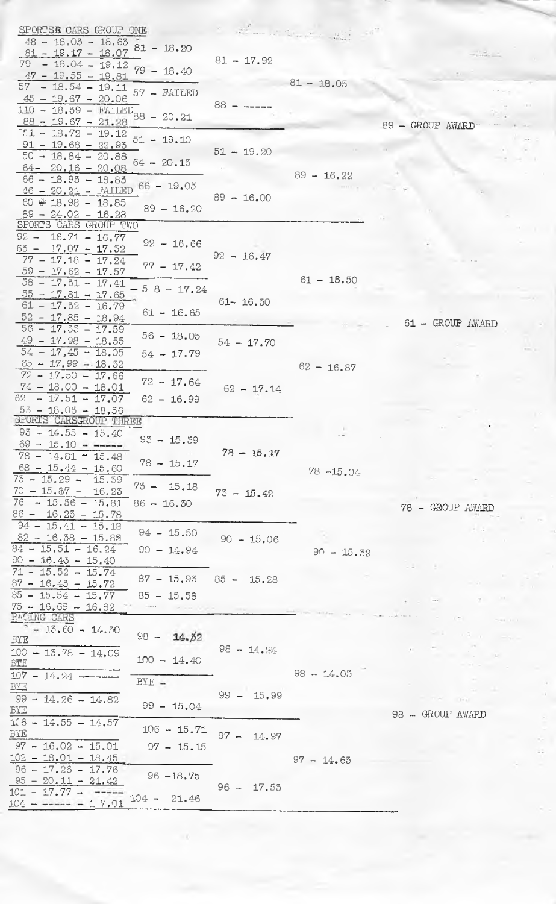| SPORTSE CARS GROUP ONE                                                       |                 |              |                  |
|------------------------------------------------------------------------------|-----------------|--------------|------------------|
| $48 - 18.03 - 18.63$                                                         |                 |              |                  |
| $81 - 19.17 - 18.07$ $81 - 18.20$                                            | $81 - 17.92$    |              |                  |
| $79 - 18.04 - 19.12$<br>$79 - 18.40$<br>$47 - 19.55 - 19.81$                 |                 |              |                  |
| $57 - 18.54 - 19.11$                                                         |                 | $81 - 18.05$ |                  |
| 57 - FAILED<br>$45 - 19.67 - 20.06$                                          |                 |              |                  |
| $\frac{110 - 18.59 - \text{FAILED}}{110 - 18.59 - \text{FAILED}}$ 88 - 20.21 | $88 -$          |              |                  |
| $88 - 19.67 - 21.28$                                                         |                 |              | 89 - GROUP AWARD |
| $7.1 - 18.72 - 19.12$<br>$51 - 19.10$                                        |                 |              |                  |
| $91 - 19.68 - 22.95$<br>$50 - 18.84 - 20.88$                                 | $51 - 19.20$    |              |                  |
| $64 - 20.15$<br>$64 - 20.16 - 20.08$                                         |                 |              |                  |
| $66 - 18.93 - 18.83$                                                         |                 | $89 - 16.22$ |                  |
| $66 - 19.05$<br>$46 - 20.21 - FATLED$                                        | $89 - 16.00$    |              |                  |
| $60 \oplus 18.98 - 18.85$<br>$89 - 16.20$                                    |                 |              |                  |
| $89 - 24.02 - 16.28$<br>SPORTS CARS GROUP TWO                                |                 |              |                  |
| $92 - 16.71 - 16.77$                                                         |                 |              |                  |
| $92 - 16.66$<br>$63 - 17.07 - 17.32$                                         |                 |              |                  |
| $77 - 17.18 - 17.24$<br>$77 - 17.42$                                         | $92 - 16.47$    |              |                  |
| $59 - 17.62 - 17.57$                                                         |                 | $61 - 15.50$ |                  |
| $58 - 17.51 - 17.41$<br>$58 - 17.24$                                         |                 |              |                  |
| $\frac{55 - 17.81 - 17.65}{$<br>$61 - 17.32 - 16.79$                         | $61 - 16.30$    |              |                  |
| $61 - 16.65$<br>$52 - 17.85 - 18.94$                                         |                 |              |                  |
| $56 - 17.33 - 17.59$                                                         |                 |              | 61 - GROUP AWARD |
| $56 - 18.05$<br>$49 - 17.98 - 18.55$                                         | $54 - 17.70$    |              |                  |
| $54 - 17,45 - 18,05$<br>$54 - 17.79$                                         |                 |              |                  |
| $65 - 17.99 - 18.52$                                                         |                 | $62 - 16.87$ |                  |
| $72 - 17.50 - 17.66$<br>$72 - 17.64$<br>$74 - 18.00 - 18.01$                 |                 |              |                  |
| $62 - 17.51 - 17.07$<br>$62 - 16.99$                                         | $62 - 17.14$    |              |                  |
| $55 - 18.05 - 18.56$                                                         |                 |              |                  |
| SPORTS CARSGROUP THREE                                                       |                 |              |                  |
| $93 - 14.55 - 15.40$<br>$93 - 15.39$                                         |                 |              |                  |
| $69 - 15.10 - -$<br>$78 - 14.81 - 15.48$                                     | $78 - 15.17$    |              |                  |
| $78 - 15.17$<br>$68 - 15.44 - 15.60$                                         |                 |              |                  |
| $75 - 15.29 -$<br>15.39                                                      |                 | $78 - 15.04$ |                  |
| $73 - 15.18$<br>$70 - 15.87 - 16.23$                                         | $73 - 15.42$    |              |                  |
| $-15.36 - 15.81$<br>76<br>$86 - 16.30$                                       |                 |              | 78 - GROUP AWARD |
| $86 - 16.25 - 15.78$<br>$94 - 15.41 - 15.18$                                 |                 |              |                  |
| $94 - 15.50$<br>$82 - 16.38 - 15.89$                                         | $90 - 15.06$    |              | The commit-      |
| $84 - 15.51 - 16.24$<br>$90 - 14.94$                                         |                 | $90 - 15.32$ |                  |
| $90 - 16.43 - 15.40$                                                         |                 |              |                  |
| $71 - 15.52 - 15.74$<br>$87 - 15.93$                                         | $85 - 15.28$    |              |                  |
| $87 - 16.43 - 15.72$                                                         |                 |              |                  |
| $85 - 15.54 - 15.77$<br>$85 - 15.58$<br>$75 - 16.69 - 16.82$                 |                 |              |                  |
| <b>EVGING CARS</b>                                                           |                 |              |                  |
| $-13.60 - 14.30$                                                             |                 |              |                  |
| $98 -$<br>14.82<br><b>BYE</b>                                                |                 |              |                  |
| 100<br>$-13.78 - 14.09$<br>$100 - 14.40$                                     | $98 - 14.24$    |              |                  |
| BTE<br>$107 - 14.24 -$                                                       |                 | $98 - 14.05$ |                  |
| $BYE =$<br>BYE                                                               |                 |              |                  |
| - 99<br>$-14.26 - 14.82$                                                     | $99 - 15.99$    |              |                  |
| $99 - 15.04$<br><b>BYE</b>                                                   |                 |              | 98 - GROUP AWARD |
| $1C6 - 14.55 - 14.57$<br>$106 - 15.71$                                       |                 |              |                  |
| BYE                                                                          | $97 -$<br>14.97 |              |                  |
| $97 - 16.02 - 15.01$<br>$97 - 15.15$                                         |                 |              |                  |
| $102 - 18.01 - 18.45$<br>$96 - 17.26 - 17.76$                                |                 | $97 - 14.63$ |                  |
| $96 - 18.75$<br>$95 - 20.11 - 21.42$                                         |                 |              |                  |
| $-17.77 -$<br>101<br>$104 - 21.46$                                           | $96 - 17.53$    |              |                  |
| $104 - - - - - 17.01$                                                        |                 |              |                  |

 $\ddot{\phantom{0}}$